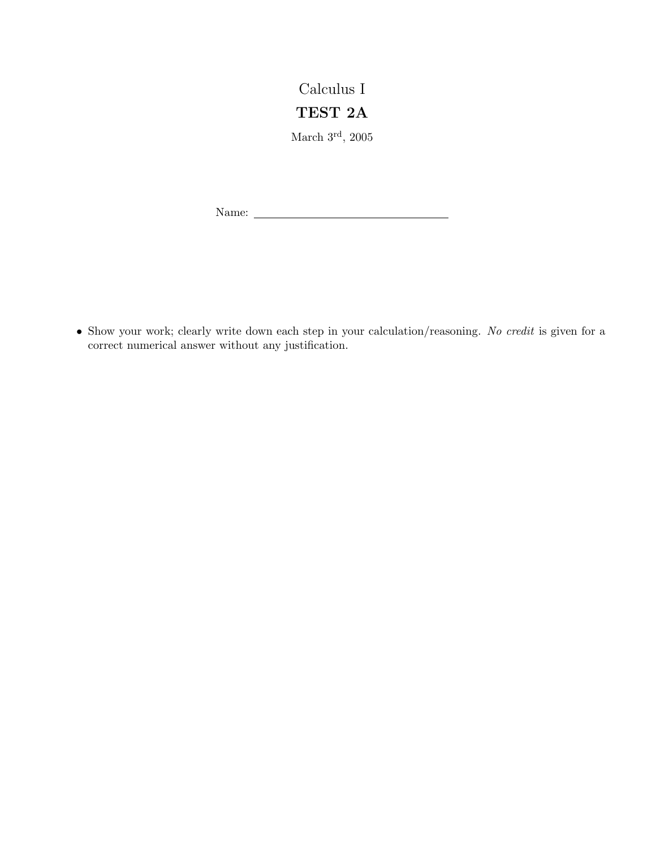## Calculus I TEST 2A

March $3^{\rm rd},\,2005$ 

Name:

• Show your work; clearly write down each step in your calculation/reasoning. No credit is given for a correct numerical answer without any justification.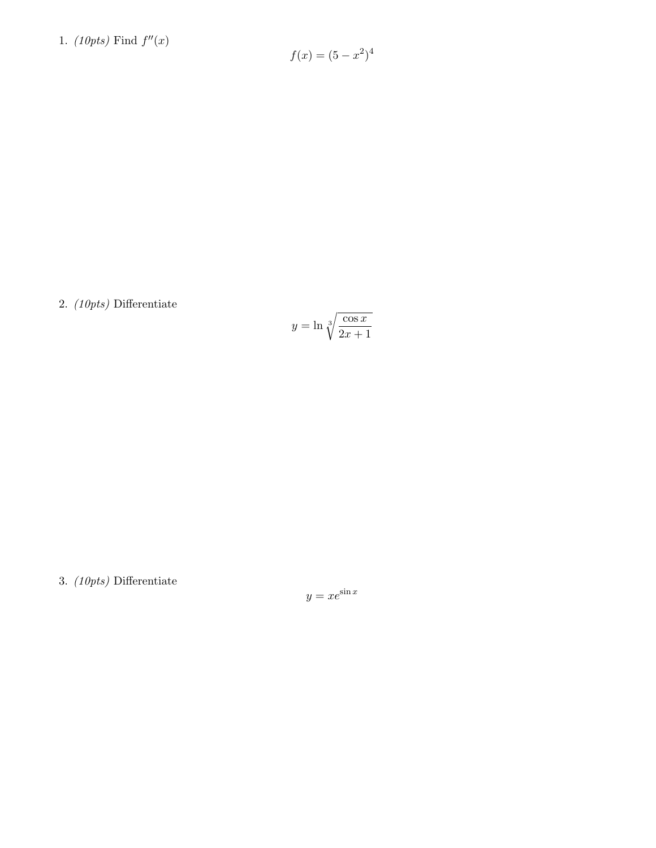1. (10pts) Find  $f''(x)$ 

$$
f(x) = (5 - x^2)^4
$$

2. (10pts) Differentiate

$$
y = \ln \sqrt[3]{\frac{\cos x}{2x + 1}}
$$

3. (10pts) Differentiate

 $y = xe^{\sin x}$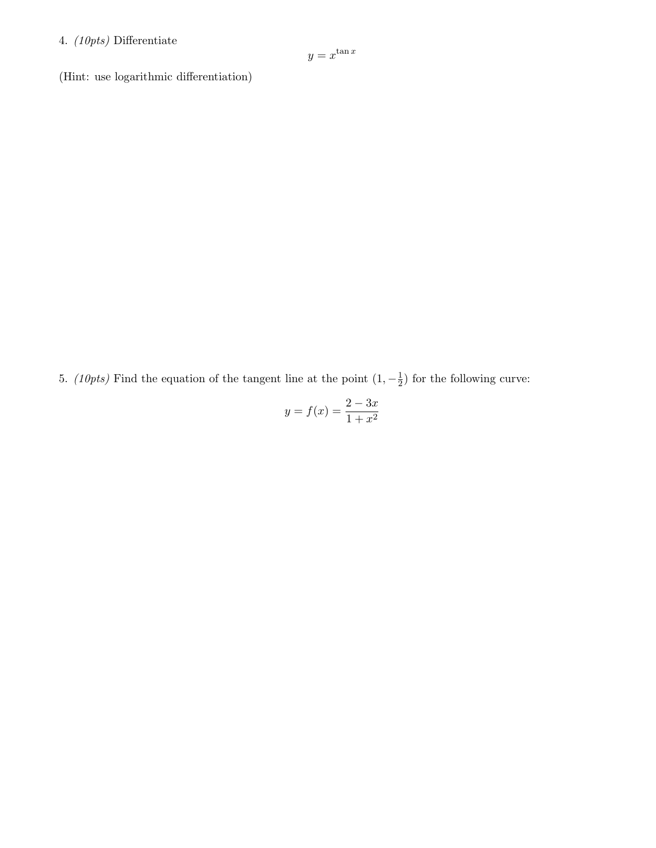## 4. (10pts) Differentiate

$$
y = x^{\tan x}
$$

(Hint: use logarithmic differentiation)

5. (10pts) Find the equation of the tangent line at the point  $(1, -\frac{1}{2})$  $(\frac{1}{2})$  for the following curve:

$$
y = f(x) = \frac{2 - 3x}{1 + x^2}
$$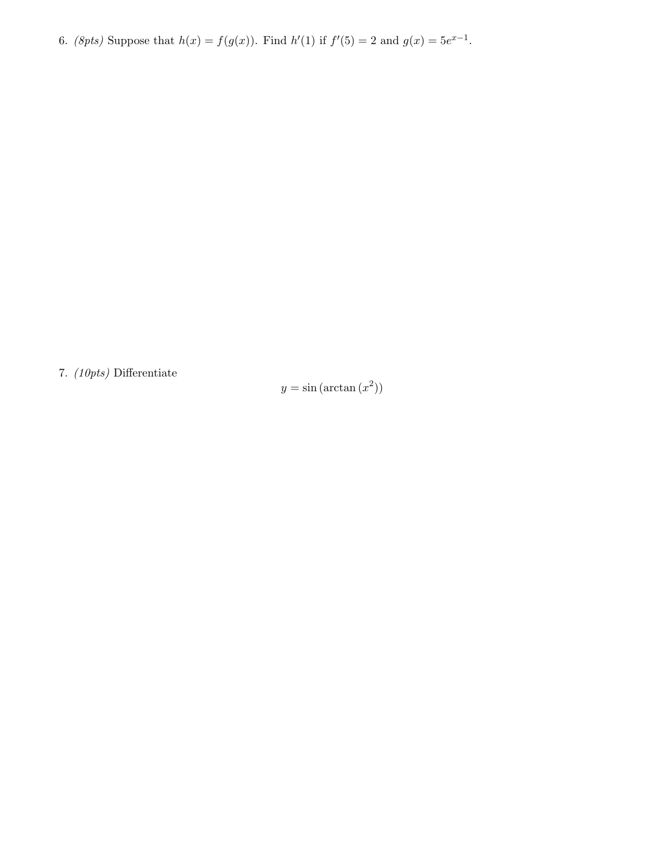6. (8pts) Suppose that  $h(x) = f(g(x))$ . Find  $h'(1)$  if  $f'(5) = 2$  and  $g(x) = 5e^{x-1}$ .

7. (10pts) Differentiate

 $y = \sin(\arctan(x^2))$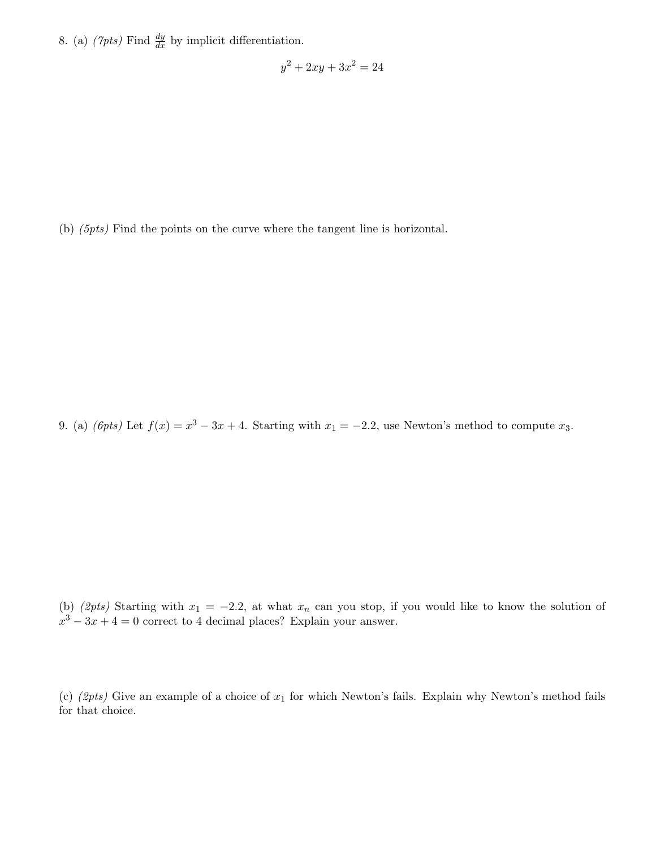8. (a)  $(\gamma p t s)$  Find  $\frac{dy}{dx}$  by implicit differentiation.

$$
y^2 + 2xy + 3x^2 = 24
$$

(b) (5pts) Find the points on the curve where the tangent line is horizontal.

9. (a) (*6pts*) Let  $f(x) = x^3 - 3x + 4$ . Starting with  $x_1 = -2.2$ , use Newton's method to compute  $x_3$ .

(b) (2pts) Starting with  $x_1 = -2.2$ , at what  $x_n$  can you stop, if you would like to know the solution of  $x^3 - 3x + 4 = 0$  correct to 4 decimal places? Explain your answer.

(c) (2pts) Give an example of a choice of  $x_1$  for which Newton's fails. Explain why Newton's method fails for that choice.